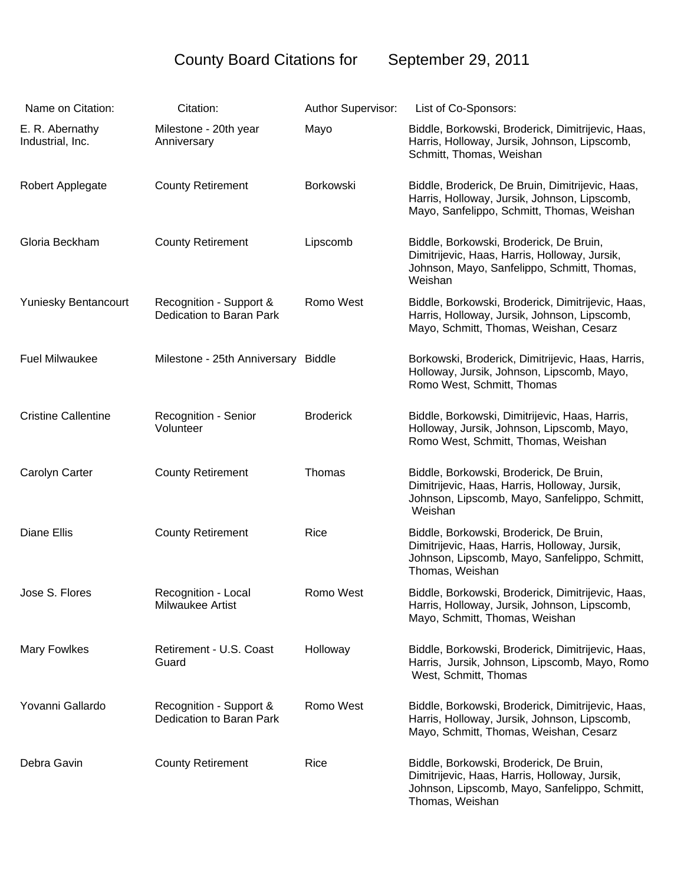## County Board Citations for September 29, 2011

| Name on Citation:                   | Citation:                                           | Author Supervisor: | List of Co-Sponsors:                                                                                                                                         |
|-------------------------------------|-----------------------------------------------------|--------------------|--------------------------------------------------------------------------------------------------------------------------------------------------------------|
| E. R. Abernathy<br>Industrial, Inc. | Milestone - 20th year<br>Anniversary                | Mayo               | Biddle, Borkowski, Broderick, Dimitrijevic, Haas,<br>Harris, Holloway, Jursik, Johnson, Lipscomb,<br>Schmitt, Thomas, Weishan                                |
| Robert Applegate                    | <b>County Retirement</b>                            | Borkowski          | Biddle, Broderick, De Bruin, Dimitrijevic, Haas,<br>Harris, Holloway, Jursik, Johnson, Lipscomb,<br>Mayo, Sanfelippo, Schmitt, Thomas, Weishan               |
| Gloria Beckham                      | <b>County Retirement</b>                            | Lipscomb           | Biddle, Borkowski, Broderick, De Bruin,<br>Dimitrijevic, Haas, Harris, Holloway, Jursik,<br>Johnson, Mayo, Sanfelippo, Schmitt, Thomas,<br>Weishan           |
| Yuniesky Bentancourt                | Recognition - Support &<br>Dedication to Baran Park | Romo West          | Biddle, Borkowski, Broderick, Dimitrijevic, Haas,<br>Harris, Holloway, Jursik, Johnson, Lipscomb,<br>Mayo, Schmitt, Thomas, Weishan, Cesarz                  |
| <b>Fuel Milwaukee</b>               | Milestone - 25th Anniversary Biddle                 |                    | Borkowski, Broderick, Dimitrijevic, Haas, Harris,<br>Holloway, Jursik, Johnson, Lipscomb, Mayo,<br>Romo West, Schmitt, Thomas                                |
| <b>Cristine Callentine</b>          | Recognition - Senior<br>Volunteer                   | <b>Broderick</b>   | Biddle, Borkowski, Dimitrijevic, Haas, Harris,<br>Holloway, Jursik, Johnson, Lipscomb, Mayo,<br>Romo West, Schmitt, Thomas, Weishan                          |
| Carolyn Carter                      | <b>County Retirement</b>                            | Thomas             | Biddle, Borkowski, Broderick, De Bruin,<br>Dimitrijevic, Haas, Harris, Holloway, Jursik,<br>Johnson, Lipscomb, Mayo, Sanfelippo, Schmitt,<br>Weishan         |
| <b>Diane Ellis</b>                  | <b>County Retirement</b>                            | Rice               | Biddle, Borkowski, Broderick, De Bruin,<br>Dimitrijevic, Haas, Harris, Holloway, Jursik,<br>Johnson, Lipscomb, Mayo, Sanfelippo, Schmitt,<br>Thomas, Weishan |
| Jose S. Flores                      | Recognition - Local<br>Milwaukee Artist             | Romo West          | Biddle, Borkowski, Broderick, Dimitrijevic, Haas,<br>Harris, Holloway, Jursik, Johnson, Lipscomb,<br>Mayo, Schmitt, Thomas, Weishan                          |
| <b>Mary Fowlkes</b>                 | Retirement - U.S. Coast<br>Guard                    | Holloway           | Biddle, Borkowski, Broderick, Dimitrijevic, Haas,<br>Harris, Jursik, Johnson, Lipscomb, Mayo, Romo<br>West, Schmitt, Thomas                                  |
| Yovanni Gallardo                    | Recognition - Support &<br>Dedication to Baran Park | Romo West          | Biddle, Borkowski, Broderick, Dimitrijevic, Haas,<br>Harris, Holloway, Jursik, Johnson, Lipscomb,<br>Mayo, Schmitt, Thomas, Weishan, Cesarz                  |
| Debra Gavin                         | <b>County Retirement</b>                            | Rice               | Biddle, Borkowski, Broderick, De Bruin,<br>Dimitrijevic, Haas, Harris, Holloway, Jursik,<br>Johnson, Lipscomb, Mayo, Sanfelippo, Schmitt,<br>Thomas, Weishan |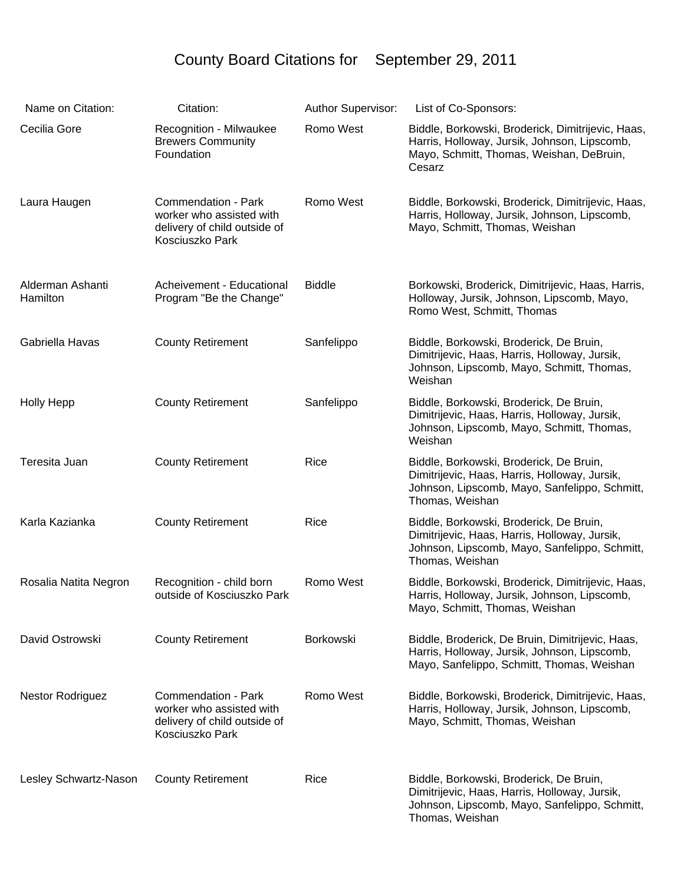## County Board Citations for September 29, 2011

| Name on Citation:            | Citation:                                                                                          | Author Supervisor: | List of Co-Sponsors:                                                                                                                                         |
|------------------------------|----------------------------------------------------------------------------------------------------|--------------------|--------------------------------------------------------------------------------------------------------------------------------------------------------------|
| Cecilia Gore                 | Recognition - Milwaukee<br><b>Brewers Community</b><br>Foundation                                  | Romo West          | Biddle, Borkowski, Broderick, Dimitrijevic, Haas,<br>Harris, Holloway, Jursik, Johnson, Lipscomb,<br>Mayo, Schmitt, Thomas, Weishan, DeBruin,<br>Cesarz      |
| Laura Haugen                 | Commendation - Park<br>worker who assisted with<br>delivery of child outside of<br>Kosciuszko Park | Romo West          | Biddle, Borkowski, Broderick, Dimitrijevic, Haas,<br>Harris, Holloway, Jursik, Johnson, Lipscomb,<br>Mayo, Schmitt, Thomas, Weishan                          |
| Alderman Ashanti<br>Hamilton | Acheivement - Educational<br>Program "Be the Change"                                               | <b>Biddle</b>      | Borkowski, Broderick, Dimitrijevic, Haas, Harris,<br>Holloway, Jursik, Johnson, Lipscomb, Mayo,<br>Romo West, Schmitt, Thomas                                |
| Gabriella Havas              | <b>County Retirement</b>                                                                           | Sanfelippo         | Biddle, Borkowski, Broderick, De Bruin,<br>Dimitrijevic, Haas, Harris, Holloway, Jursik,<br>Johnson, Lipscomb, Mayo, Schmitt, Thomas,<br>Weishan             |
| <b>Holly Hepp</b>            | <b>County Retirement</b>                                                                           | Sanfelippo         | Biddle, Borkowski, Broderick, De Bruin,<br>Dimitrijevic, Haas, Harris, Holloway, Jursik,<br>Johnson, Lipscomb, Mayo, Schmitt, Thomas,<br>Weishan             |
| Teresita Juan                | <b>County Retirement</b>                                                                           | Rice               | Biddle, Borkowski, Broderick, De Bruin,<br>Dimitrijevic, Haas, Harris, Holloway, Jursik,<br>Johnson, Lipscomb, Mayo, Sanfelippo, Schmitt,<br>Thomas, Weishan |
| Karla Kazianka               | <b>County Retirement</b>                                                                           | Rice               | Biddle, Borkowski, Broderick, De Bruin,<br>Dimitrijevic, Haas, Harris, Holloway, Jursik,<br>Johnson, Lipscomb, Mayo, Sanfelippo, Schmitt,<br>Thomas, Weishan |
| Rosalia Natita Negron        | Recognition - child born<br>outside of Kosciuszko Park                                             | Romo West          | Biddle, Borkowski, Broderick, Dimitrijevic, Haas,<br>Harris, Holloway, Jursik, Johnson, Lipscomb,<br>Mayo, Schmitt, Thomas, Weishan                          |
| David Ostrowski              | <b>County Retirement</b>                                                                           | Borkowski          | Biddle, Broderick, De Bruin, Dimitrijevic, Haas,<br>Harris, Holloway, Jursik, Johnson, Lipscomb,<br>Mayo, Sanfelippo, Schmitt, Thomas, Weishan               |
| <b>Nestor Rodriguez</b>      | Commendation - Park<br>worker who assisted with<br>delivery of child outside of<br>Kosciuszko Park | Romo West          | Biddle, Borkowski, Broderick, Dimitrijevic, Haas,<br>Harris, Holloway, Jursik, Johnson, Lipscomb,<br>Mayo, Schmitt, Thomas, Weishan                          |
| Lesley Schwartz-Nason        | <b>County Retirement</b>                                                                           | Rice               | Biddle, Borkowski, Broderick, De Bruin,<br>Dimitrijevic, Haas, Harris, Holloway, Jursik,<br>Johnson, Lipscomb, Mayo, Sanfelippo, Schmitt,<br>Thomas, Weishan |